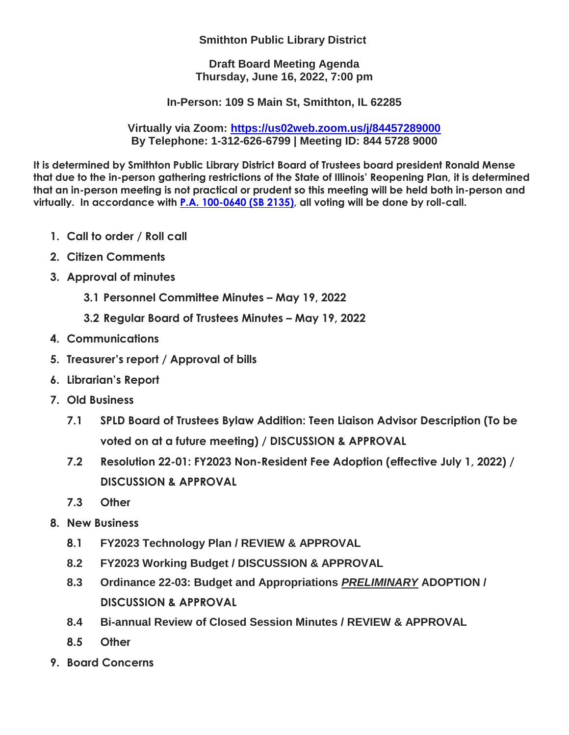## **Smithton Public Library District**

**Draft Board Meeting Agenda Thursday, June 16, 2022, 7:00 pm**

**In-Person: 109 S Main St, Smithton, IL 62285**

**Virtually via Zoom:<https://us02web.zoom.us/j/84457289000> By Telephone: 1-312-626-6799 | Meeting ID: 844 5728 9000**

**It is determined by Smithton Public Library District Board of Trustees board president Ronald Mense that due to the in-person gathering restrictions of the State of Illinois' Reopening Plan, it is determined that an in-person meeting is not practical or prudent so this meeting will be held both in-person and virtually. In accordance with [P.A. 100-0640 \(SB 2135\),](http://www.ilga.gov/legislation/publicacts/101/101-0640.htm) all voting will be done by roll-call.**

- **1. Call to order / Roll call**
- **2. Citizen Comments**
- **3. Approval of minutes**
	- **3.1 Personnel Committee Minutes – May 19, 2022**
	- **3.2 Regular Board of Trustees Minutes – May 19, 2022**
- **4. Communications**
- **5. Treasurer's report / Approval of bills**
- **6. Librarian's Report**
- **7. Old Business**
	- **7.1 SPLD Board of Trustees Bylaw Addition: Teen Liaison Advisor Description (To be voted on at a future meeting) / DISCUSSION & APPROVAL**
	- **7.2 Resolution 22-01: FY2023 Non-Resident Fee Adoption (effective July 1, 2022) / DISCUSSION & APPROVAL**
	- **7.3 Other**
- **8. New Business** 
	- **8.1 FY2023 Technology Plan / REVIEW & APPROVAL**
	- **8.2 FY2023 Working Budget / DISCUSSION & APPROVAL**
	- **8.3 Ordinance 22-03: Budget and Appropriations** *PRELIMINARY* **ADOPTION / DISCUSSION & APPROVAL**
	- **8.4 Bi-annual Review of Closed Session Minutes / REVIEW & APPROVAL**
	- **8.5 Other**
- **9. Board Concerns**